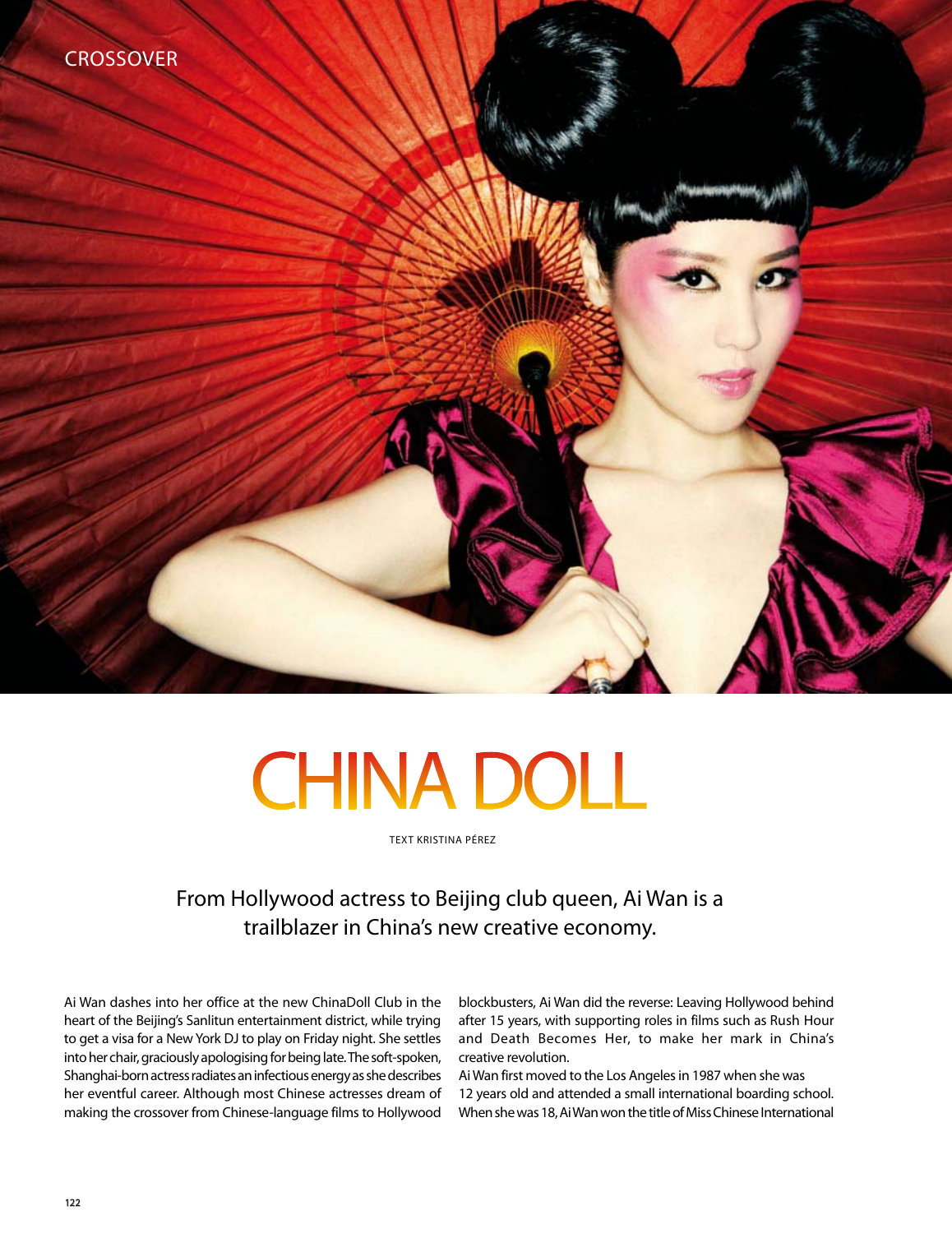

# **CHINA DOLL**

text Kristina Pérez

## From Hollywood actress to Beijing club queen, Ai Wan is a trailblazer in China's new creative economy.

Ai Wan dashes into her office at the new ChinaDoll Club in the heart of the Beijing's Sanlitun entertainment district, while trying to get a visa for a New York DJ to play on Friday night. She settles into her chair, graciously apologising for being late. The soft-spoken, Shanghai-born actress radiates an infectious energy as she describes her eventful career. Although most Chinese actresses dream of making the crossover from Chinese-language films to Hollywood

blockbusters, Ai Wan did the reverse: Leaving Hollywood behind after 15 years, with supporting roles in films such as Rush Hour and Death Becomes Her, to make her mark in China's creative revolution.

Ai Wan first moved to the Los Angeles in 1987 when she was 12 years old and attended a small international boarding school. When she was 18, Ai Wan won the title of Miss Chinese International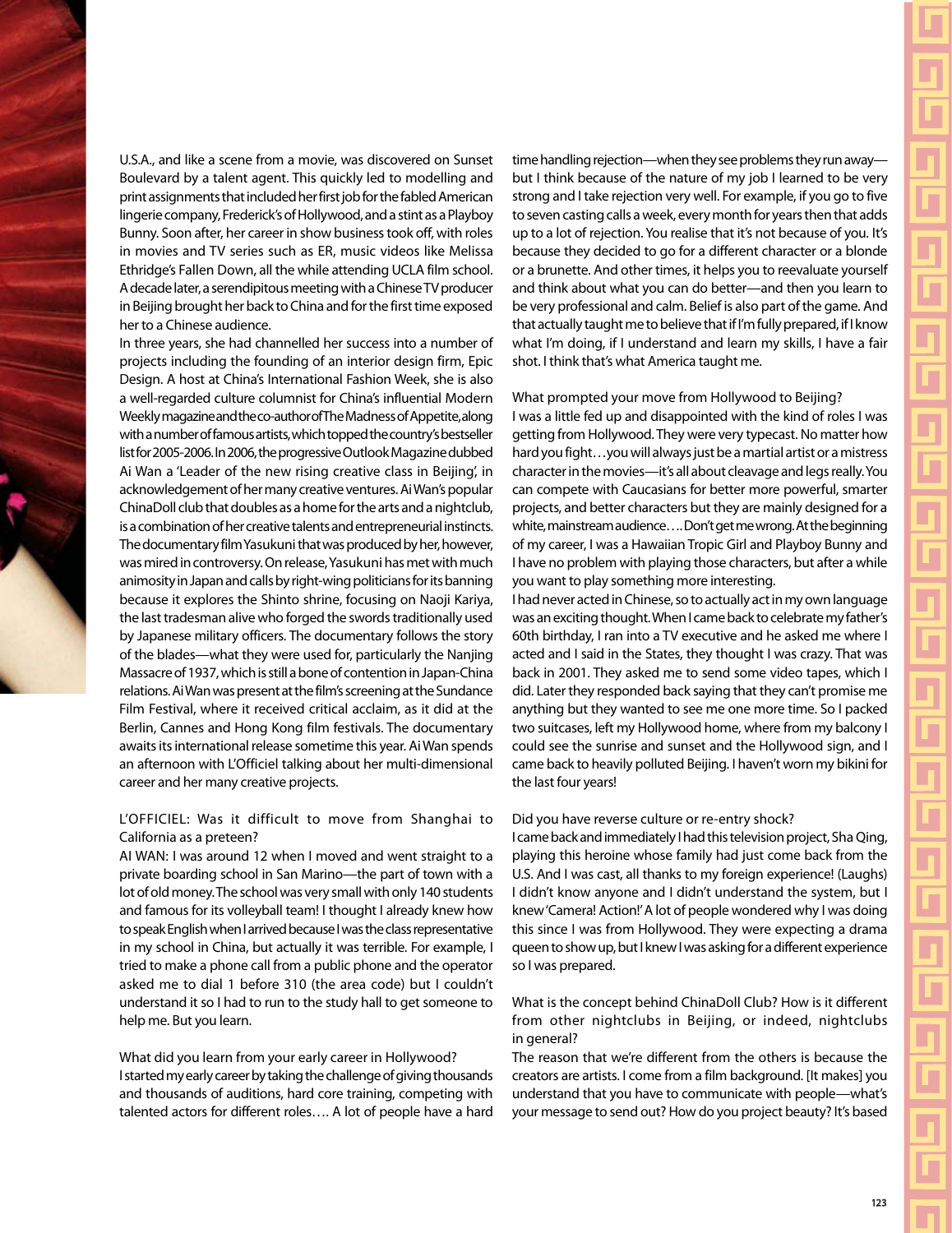U.S.A., and like a scene from a movie, was discovered on Sunset Boulevard by a talent agent. This quickly led to modelling and print assignments that included her first job for the fabled American lingerie company, Frederick's of Hollywood, and a stint as a Playboy Bunny. Soon after, her career in show business took off, with roles in movies and TV series such as ER, music videos like Melissa Ethridge's Fallen Down, all the while attending UCLA film school. A decade later, a serendipitous meeting with a Chinese TV producer in Beijing brought her back to China and for the first time exposed her to a Chinese audience.

In three years, she had channelled her success into a number of projects including the founding of an interior design firm, Epic Design. A host at China's International Fashion Week, she is also a well-regarded culture columnist for China's influential Modern Weekly magazine and the co-author of The Madness of Appetite, along with a number of famous artists, which topped the country's bestseller list for 2005-2006. In 2006, the progressive Outlook Magazine dubbed Ai Wan a 'Leader of the new rising creative class in Beijing', in acknowledgement of her many creative ventures. Ai Wan's popular ChinaDoll club that doubles as a home for the arts and a nightclub, is a combination of her creative talents and entrepreneurial instincts. The documentary film Yasukuni that was produced by her, however, was mired in controversy. On release, Yasukuni has met with much animosity in Japan and calls by right-wing politicians for its banning because it explores the Shinto shrine, focusing on Naoji Kariya, the last tradesman alive who forged the swords traditionally used by Japanese military officers. The documentary follows the story of the blades—what they were used for, particularly the Nanjing Massacre of 1937, which is still a bone of contention in Japan-China relations. Ai Wan was present at the film's screening at the Sundance Film Festival, where it received critical acclaim, as it did at the Berlin, Cannes and Hong Kong film festivals. The documentary awaits its international release sometime this year. Ai Wan spends an afternoon with L'Officiel talking about her multi-dimensional career and her many creative projects.

#### L'OFFICIEL: Was it difficult to move from Shanghai to California as a preteen?

AI WAN: I was around 12 when I moved and went straight to a private boarding school in San Marino—the part of town with a lot of old money. The school was very small with only 140 students and famous for its volleyball team! I thought I already knew how to speak English when I arrived because I was the class representative in my school in China, but actually it was terrible. For example, I tried to make a phone call from a public phone and the operator asked me to dial 1 before 310 (the area code) but I couldn't understand it so I had to run to the study hall to get someone to help me. But you learn.

#### What did you learn from your early career in Hollywood? I started my early career by taking the challenge of giving thousands and thousands of auditions, hard core training, competing with talented actors for different roles…. A lot of people have a hard

time handling rejection—when they see problems they run away but I think because of the nature of my job I learned to be very strong and I take rejection very well. For example, if you go to five to seven casting calls a week, every month for years then that adds up to a lot of rejection. You realise that it's not because of you. It's because they decided to go for a different character or a blonde or a brunette. And other times, it helps you to reevaluate yourself and think about what you can do better—and then you learn to be very professional and calm. Belief is also part of the game. And that actually taught me to believe that if I'm fully prepared, if I know what I'm doing, if I understand and learn my skills, I have a fair shot. I think that's what America taught me.

What prompted your move from Hollywood to Beijing?

I was a little fed up and disappointed with the kind of roles I was getting from Hollywood. They were very typecast. No matter how hard you fight…you will always just be a martial artist or a mistress character in the movies—it's all about cleavage and legs really. You can compete with Caucasians for better more powerful, smarter projects, and better characters but they are mainly designed for a white, mainstream audience…. Don't get me wrong. At the beginning of my career, I was a Hawaiian Tropic Girl and Playboy Bunny and I have no problem with playing those characters, but after a while you want to play something more interesting.

I had never acted in Chinese, so to actually act in my own language was an exciting thought. When I came back to celebrate my father's 60th birthday, I ran into a TV executive and he asked me where I acted and I said in the States, they thought I was crazy. That was back in 2001. They asked me to send some video tapes, which I did. Later they responded back saying that they can't promise me anything but they wanted to see me one more time. So I packed two suitcases, left my Hollywood home, where from my balcony I could see the sunrise and sunset and the Hollywood sign, and I came back to heavily polluted Beijing. I haven't worn my bikini for the last four years!

#### Did you have reverse culture or re-entry shock?

I came back and immediately I had this television project, Sha Qing, playing this heroine whose family had just come back from the U.S. And I was cast, all thanks to my foreign experience! (Laughs) I didn't know anyone and I didn't understand the system, but I knew 'Camera! Action!' A lot of people wondered why I was doing this since I was from Hollywood. They were expecting a drama queen to show up, but I knew I was asking for a different experience so I was prepared.

What is the concept behind ChinaDoll Club? How is it different from other nightclubs in Beijing, or indeed, nightclubs in general?

The reason that we're different from the others is because the creators are artists. I come from a film background. [It makes] you understand that you have to communicate with people—what's your message to send out? How do you project beauty? It's based